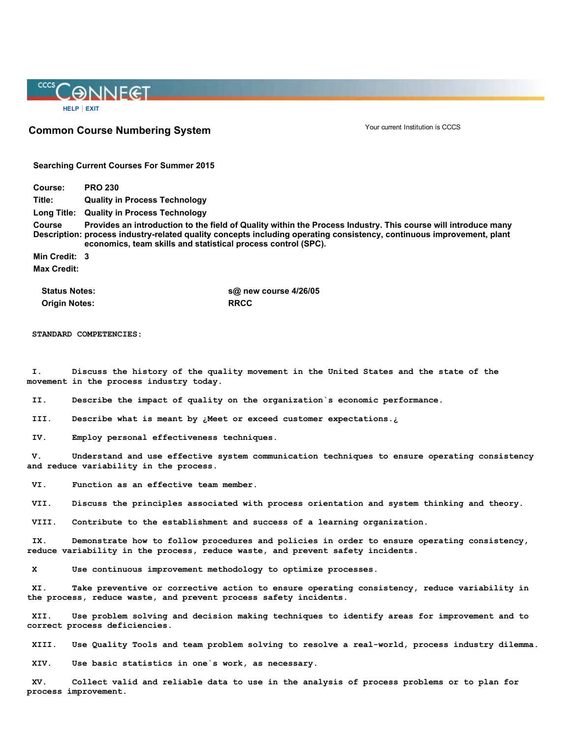## CCCS CONNECT [HELP](https://erpdnssb.cccs.edu/wtlhtml/cccshelp.htm) | [EXIT](https://erpdnssb.cccs.edu/PRODCCCS/twbkwbis.P_Logout)

Common Course Numbering System

Your current Institution is CCCS

Searching Current Courses For Summer 2015

Course: PRO 230 Title: Quality in Process Technology Long Title: Quality in Process Technology Course Description: process industryrelated quality concepts including operating consistency, continuous improvement, plant Provides an introduction to the field of Quality within the Process Industry. This course will introduce many economics, team skills and statistical process control (SPC). Min Credit: 3 Max Credit:

Origin Notes: RRCC

Status Notes: Status Notes: Status Notes: Status Notes: Separation of the Separation of the Separation of the S

STANDARD COMPETENCIES:

I. Discuss the history of the quality movement in the United States and the state of the movement in the process industry today.

II. Describe the impact of quality on the organization`s economic performance.

III. Describe what is meant by ¿Meet or exceed customer expectations.¿

IV. Employ personal effectiveness techniques.

V. Understand and use effective system communication techniques to ensure operating consistency and reduce variability in the process.

VI. Function as an effective team member.

VII. Discuss the principles associated with process orientation and system thinking and theory.

VIII. Contribute to the establishment and success of a learning organization.

IX. Demonstrate how to follow procedures and policies in order to ensure operating consistency, reduce variability in the process, reduce waste, and prevent safety incidents.

X Use continuous improvement methodology to optimize processes.

XI. Take preventive or corrective action to ensure operating consistency, reduce variability in the process, reduce waste, and prevent process safety incidents.

XII. Use problem solving and decision making techniques to identify areas for improvement and to correct process deficiencies.

XIII. Use Quality Tools and team problem solving to resolve a real-world, process industry dilemma.

XIV. Use basic statistics in one`s work, as necessary.

XV. Collect valid and reliable data to use in the analysis of process problems or to plan for process improvement.